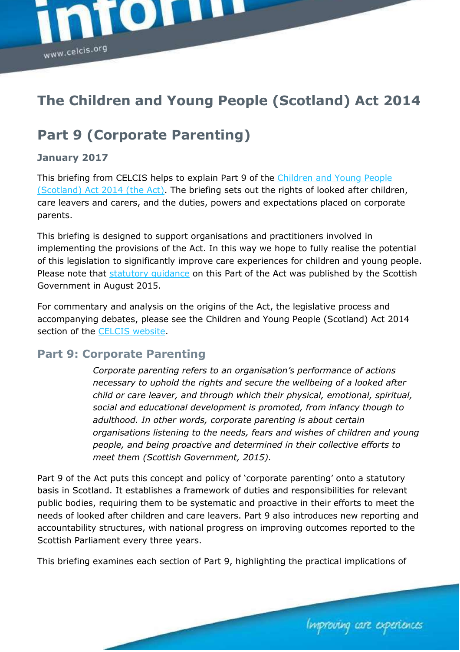

# **The Children and Young People (Scotland) Act 2014**

# **Part 9 (Corporate Parenting)**

#### **January 2017**

This briefing from CELCIS helps to explain Part 9 of the [Children and Young People](http://www.legislation.gov.uk/asp/2014/8/enacted)  [\(Scotland\) Act 2014 \(the Act\).](http://www.legislation.gov.uk/asp/2014/8/enacted) The briefing sets out the rights of looked after children, care leavers and carers, and the duties, powers and expectations placed on corporate parents.

This briefing is designed to support organisations and practitioners involved in implementing the provisions of the Act. In this way we hope to fully realise the potential of this legislation to significantly improve care experiences for children and young people. Please note that statutory quidance on this Part of the Act was published by the Scottish Government in August 2015.

For commentary and analysis on the origins of the Act, the legislative process and accompanying debates, please see the Children and Young People (Scotland) Act 2014 section of the [CELCIS website.](https://www.celcis.org/)

### **Part 9: Corporate Parenting**

*Corporate parenting refers to an organisation's performance of actions necessary to uphold the rights and secure the wellbeing of a looked after child or care leaver, and through which their physical, emotional, spiritual, social and educational development is promoted, from infancy though to adulthood. In other words, corporate parenting is about certain organisations listening to the needs, fears and wishes of children and young people, and being proactive and determined in their collective efforts to meet them (Scottish Government, 2015).*

Part 9 of the Act puts this concept and policy of 'corporate parenting' onto a statutory basis in Scotland. It establishes a framework of duties and responsibilities for relevant public bodies, requiring them to be systematic and proactive in their efforts to meet the needs of looked after children and care leavers. Part 9 also introduces new reporting and accountability structures, with national progress on improving outcomes reported to the Scottish Parliament every three years.

This briefing examines each section of Part 9, highlighting the practical implications of

Improving care experiences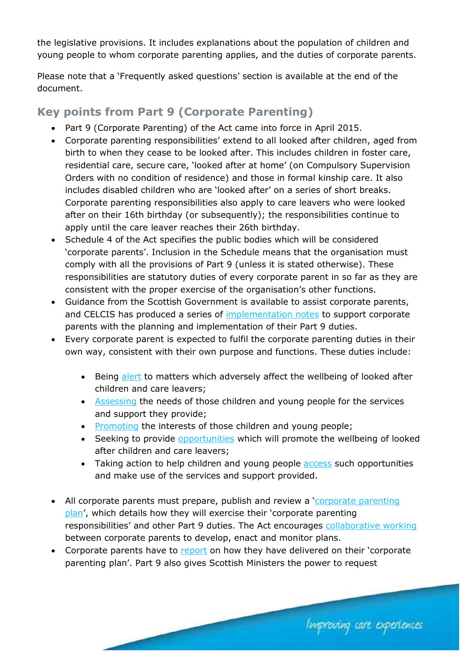the legislative provisions. It includes explanations about the population of children and young people to whom corporate parenting applies, and the duties of corporate parents.

Please note that a 'Frequently asked questions' section is available at the end of the document.

# **Key points from Part 9 (Corporate Parenting)**

- Part 9 (Corporate Parenting) of the Act came into force in April 2015.
- Corporate parenting responsibilities' extend to all looked after children, aged from birth to when they cease to be looked after. This includes children in foster care, residential care, secure care, 'looked after at home' (on Compulsory Supervision Orders with no condition of residence) and those in formal kinship care. It also includes disabled children who are 'looked after' on a series of short breaks. Corporate parenting responsibilities also apply to care leavers who were looked after on their 16th birthday (or subsequently); the responsibilities continue to apply until the care leaver reaches their 26th birthday.
- Schedule 4 of the Act specifies the public bodies which will be considered 'corporate parents'. Inclusion in the Schedule means that the organisation must comply with all the provisions of Part 9 (unless it is stated otherwise). These responsibilities are statutory duties of every corporate parent in so far as they are consistent with the proper exercise of the organisation's other functions.
- Guidance from the Scottish Government is available to assist corporate parents, and CELCIS has produced a series of [implementation notes](https://www.celcis.org/knowledge-bank/spotlight/implementing-corporate-parenting-duties/) to support corporate parents with the planning and implementation of their Part 9 duties.
- Every corporate parent is expected to fulfil the corporate parenting duties in their own way, consistent with their own purpose and functions. These duties include:
	- Being [alert](https://www.celcis.org/files/9114/5926/0819/Corporate-parenting-Implementation-Note-2-to-be-alert-and-assess.pdf) to matters which adversely affect the wellbeing of looked after children and care leavers;
	- [Assessing](https://www.celcis.org/files/9114/5926/0819/Corporate-parenting-Implementation-Note-2-to-be-alert-and-assess.pdf) the needs of those children and young people for the services and support they provide;
	- [Promoting](https://www.celcis.org/files/6114/5926/2754/Corporate-parenting-Implementation-Note-5-promote-opportunities-access.pdf) the interests of those children and young people;
	- Seeking to provide [opportunities](https://www.celcis.org/files/6114/5926/2754/Corporate-parenting-Implementation-Note-5-promote-opportunities-access.pdf) which will promote the wellbeing of looked after children and care leavers;
	- Taking action to help children and young people [access](https://www.celcis.org/files/6114/5926/2754/Corporate-parenting-Implementation-Note-5-promote-opportunities-access.pdf) such opportunities and make use of the services and support provided.
- All corporate parents must prepare, publish and review a 'corporate parenting [plan](https://www.celcis.org/files/4514/5926/1023/Corporate-parenting-Implementation-Note-4-planning-and-reporting.pdf)', which details how they will exercise their 'corporate parenting responsibilities' and other Part 9 duties. The Act encourages [collaborative working](https://www.celcis.org/files/6914/5926/1037/Corporate-parenting-Implementation-Note-3-collaboration.pdf) between corporate parents to develop, enact and monitor plans.
- Corporate parents have to [report](https://www.celcis.org/files/4514/5926/1023/Corporate-parenting-Implementation-Note-4-planning-and-reporting.pdf) on how they have delivered on their 'corporate parenting plan'. Part 9 also gives Scottish Ministers the power to request

Improving care experiences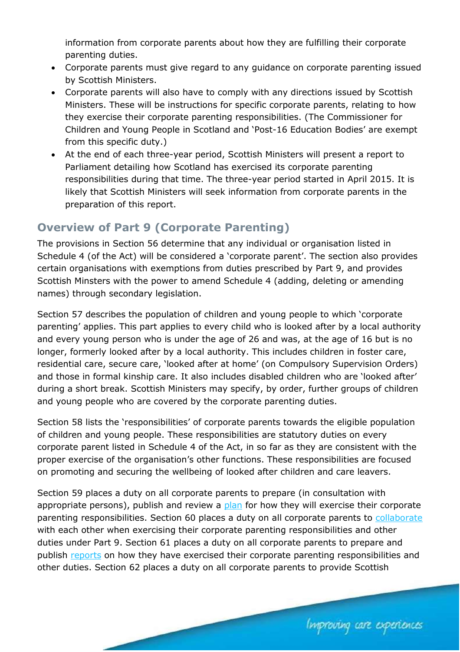information from corporate parents about how they are fulfilling their corporate parenting duties.

- Corporate parents must give regard to any guidance on corporate parenting issued by Scottish Ministers.
- Corporate parents will also have to comply with any directions issued by Scottish Ministers. These will be instructions for specific corporate parents, relating to how they exercise their corporate parenting responsibilities. (The Commissioner for Children and Young People in Scotland and 'Post-16 Education Bodies' are exempt from this specific duty.)
- At the end of each three-year period, Scottish Ministers will present a report to Parliament detailing how Scotland has exercised its corporate parenting responsibilities during that time. The three-year period started in April 2015. It is likely that Scottish Ministers will seek information from corporate parents in the preparation of this report.

### **Overview of Part 9 (Corporate Parenting)**

The provisions in Section 56 determine that any individual or organisation listed in Schedule 4 (of the Act) will be considered a 'corporate parent'. The section also provides certain organisations with exemptions from duties prescribed by Part 9, and provides Scottish Minsters with the power to amend Schedule 4 (adding, deleting or amending names) through secondary legislation.

Section 57 describes the population of children and young people to which 'corporate parenting' applies. This part applies to every child who is looked after by a local authority and every young person who is under the age of 26 and was, at the age of 16 but is no longer, formerly looked after by a local authority. This includes children in foster care, residential care, secure care, 'looked after at home' (on Compulsory Supervision Orders) and those in formal kinship care. It also includes disabled children who are 'looked after' during a short break. Scottish Ministers may specify, by order, further groups of children and young people who are covered by the corporate parenting duties.

Section 58 lists the 'responsibilities' of corporate parents towards the eligible population of children and young people. These responsibilities are statutory duties on every corporate parent listed in Schedule 4 of the Act, in so far as they are consistent with the proper exercise of the organisation's other functions. These responsibilities are focused on promoting and securing the wellbeing of looked after children and care leavers.

Section 59 places a duty on all corporate parents to prepare (in consultation with appropriate persons), publish and review a [plan](https://www.celcis.org/files/4514/5926/1023/Corporate-parenting-Implementation-Note-4-planning-and-reporting.pdf) for how they will exercise their corporate parenting responsibilities. Section 60 places a duty on all corporate parents to [collaborate](https://www.celcis.org/files/6914/5926/1037/Corporate-parenting-Implementation-Note-3-collaboration.pdf) with each other when exercising their corporate parenting responsibilities and other duties under Part 9. Section 61 places a duty on all corporate parents to prepare and publish [reports](https://www.celcis.org/files/4514/5926/1023/Corporate-parenting-Implementation-Note-4-planning-and-reporting.pdf) on how they have exercised their corporate parenting responsibilities and other duties. Section 62 places a duty on all corporate parents to provide Scottish

Improving care experiences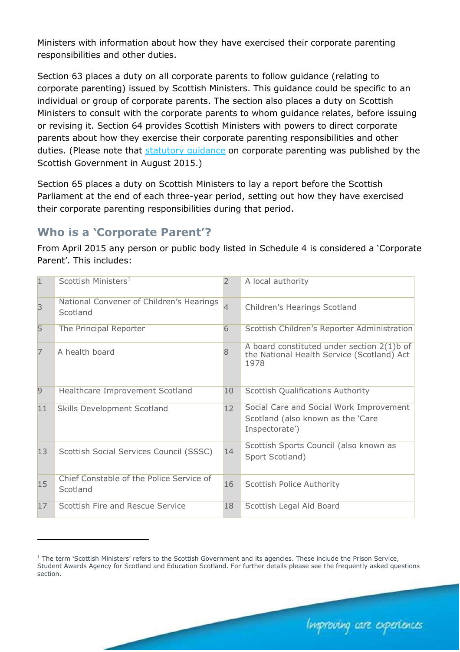Ministers with information about how they have exercised their corporate parenting responsibilities and other duties.

Section 63 places a duty on all corporate parents to follow guidance (relating to corporate parenting) issued by Scottish Ministers. This guidance could be specific to an individual or group of corporate parents. The section also places a duty on Scottish Ministers to consult with the corporate parents to whom guidance relates, before issuing or revising it. Section 64 provides Scottish Ministers with powers to direct corporate parents about how they exercise their corporate parenting responsibilities and other duties. (Please note that [statutory guidance](http://www.gov.scot/Resource/0048/00483676.pdf) on corporate parenting was published by the Scottish Government in August 2015.)

Section 65 places a duty on Scottish Ministers to lay a report before the Scottish Parliament at the end of each three-year period, setting out how they have exercised their corporate parenting responsibilities during that period.

### **Who is a 'Corporate Parent'?**

l,

From April 2015 any person or public body listed in Schedule 4 is considered a 'Corporate Parent'. This includes:

| $\overline{1}$ | Scottish Ministers <sup>1</sup>                      | $\overline{2}$ | A local authority                                                                                   |
|----------------|------------------------------------------------------|----------------|-----------------------------------------------------------------------------------------------------|
| $\overline{3}$ | National Convener of Children's Hearings<br>Scotland | $\overline{4}$ | Children's Hearings Scotland                                                                        |
| 5              | The Principal Reporter                               | 6              | Scottish Children's Reporter Administration                                                         |
| $\overline{7}$ | A health board                                       |                | A board constituted under section $2(1)$ b of<br>the National Health Service (Scotland) Act<br>1978 |
| 9              | Healthcare Improvement Scotland                      | 10             | <b>Scottish Qualifications Authority</b>                                                            |
| 11             | Skills Development Scotland                          | 12             | Social Care and Social Work Improvement<br>Scotland (also known as the 'Care<br>Inspectorate')      |
| 13             | Scottish Social Services Council (SSSC)              | 14             | Scottish Sports Council (also known as<br>Sport Scotland)                                           |
| 15             | Chief Constable of the Police Service of<br>Scotland | 16             | Scottish Police Authority                                                                           |
| 17             | Scottish Fire and Rescue Service                     | 18             | Scottish Legal Aid Board                                                                            |

Improving care experiences

 $1$  The term 'Scottish Ministers' refers to the Scottish Government and its agencies. These include the Prison Service, Student Awards Agency for Scotland and Education Scotland. For further details please see the frequently asked questions section.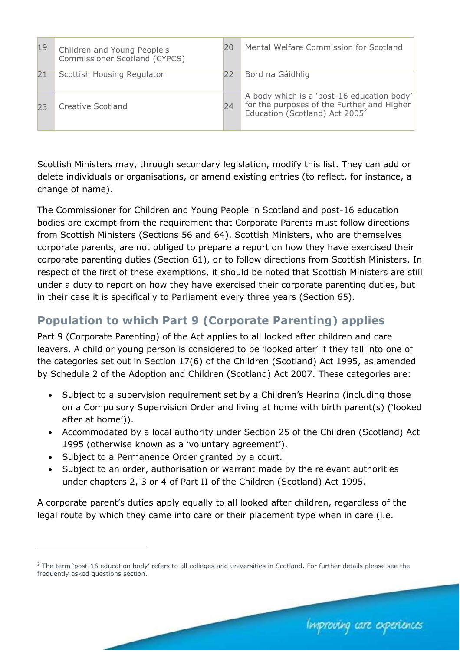| 19 | Children and Young People's<br>Commissioner Scotland (CYPCS) | 20 | Mental Welfare Commission for Scotland                                                                                                 |
|----|--------------------------------------------------------------|----|----------------------------------------------------------------------------------------------------------------------------------------|
| 21 | Scottish Housing Regulator                                   | 22 | Bord na Gáidhlig                                                                                                                       |
| フ3 | Creative Scotland                                            | 24 | A body which is a 'post-16 education body'<br>for the purposes of the Further and Higher<br>Education (Scotland) Act 2005 <sup>2</sup> |

Scottish Ministers may, through secondary legislation, modify this list. They can add or delete individuals or organisations, or amend existing entries (to reflect, for instance, a change of name).

The Commissioner for Children and Young People in Scotland and post-16 education bodies are exempt from the requirement that Corporate Parents must follow directions from Scottish Ministers (Sections 56 and 64). Scottish Ministers, who are themselves corporate parents, are not obliged to prepare a report on how they have exercised their corporate parenting duties (Section 61), or to follow directions from Scottish Ministers. In respect of the first of these exemptions, it should be noted that Scottish Ministers are still under a duty to report on how they have exercised their corporate parenting duties, but in their case it is specifically to Parliament every three years (Section 65).

# **Population to which Part 9 (Corporate Parenting) applies**

Part 9 (Corporate Parenting) of the Act applies to all looked after children and care leavers. A child or young person is considered to be 'looked after' if they fall into one of the categories set out in Section 17(6) of the Children (Scotland) Act 1995, as amended by Schedule 2 of the Adoption and Children (Scotland) Act 2007. These categories are:

- Subject to a supervision requirement set by a Children's Hearing (including those on a Compulsory Supervision Order and living at home with birth parent(s) ('looked after at home')).
- Accommodated by a local authority under Section 25 of the Children (Scotland) Act 1995 (otherwise known as a 'voluntary agreement').
- Subject to a Permanence Order granted by a court.

l,

• Subject to an order, authorisation or warrant made by the relevant authorities under chapters 2, 3 or 4 of Part II of the Children (Scotland) Act 1995.

A corporate parent's duties apply equally to all looked after children, regardless of the legal route by which they came into care or their placement type when in care (i.e.

Improving care experiences

<sup>&</sup>lt;sup>2</sup> The term 'post-16 education body' refers to all colleges and universities in Scotland. For further details please see the frequently asked questions section.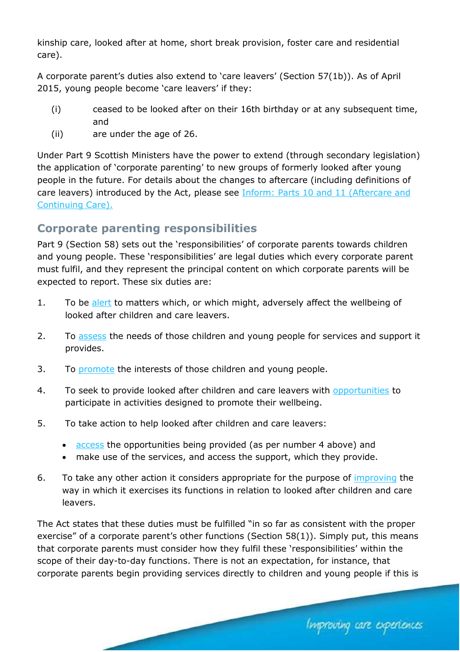kinship care, looked after at home, short break provision, foster care and residential care).

A corporate parent's duties also extend to 'care leavers' (Section 57(1b)). As of April 2015, young people become 'care leavers' if they:

- (i) ceased to be looked after on their 16th birthday or at any subsequent time, and
- (ii) are under the age of 26.

Under Part 9 Scottish Ministers have the power to extend (through secondary legislation) the application of 'corporate parenting' to new groups of formerly looked after young people in the future. For details about the changes to aftercare (including definitions of care leavers) introduced by the Act, please see [Inform: Parts 10 and 11 \(Aftercare and](https://www.celcis.org/knowledge-bank/search-bank/inform-children-and-young-people-act-aftercare-and-continuing-care/)  [Continuing Care\).](https://www.celcis.org/knowledge-bank/search-bank/inform-children-and-young-people-act-aftercare-and-continuing-care/)

### **Corporate parenting responsibilities**

Part 9 (Section 58) sets out the 'responsibilities' of corporate parents towards children and young people. These 'responsibilities' are legal duties which every corporate parent must fulfil, and they represent the principal content on which corporate parents will be expected to report. These six duties are:

- 1. To be [alert](https://www.celcis.org/files/9114/5926/0819/Corporate-parenting-Implementation-Note-2-to-be-alert-and-assess.pdf) to matters which, or which might, adversely affect the wellbeing of looked after children and care leavers.
- 2. To [assess](https://www.celcis.org/files/9114/5926/0819/Corporate-parenting-Implementation-Note-2-to-be-alert-and-assess.pdf) the needs of those children and young people for services and support it provides.
- 3. To [promote](https://www.celcis.org/files/6114/5926/2754/Corporate-parenting-Implementation-Note-5-promote-opportunities-access.pdf) the interests of those children and young people.
- 4. To seek to provide looked after children and care leavers with [opportunities](https://www.celcis.org/files/6114/5926/2754/Corporate-parenting-Implementation-Note-5-promote-opportunities-access.pdf) to participate in activities designed to promote their wellbeing.
- 5. To take action to help looked after children and care leavers:
	- [access](https://www.celcis.org/files/6114/5926/2754/Corporate-parenting-Implementation-Note-5-promote-opportunities-access.pdf) the opportunities being provided (as per number 4 above) and
	- make use of the services, and access the support, which they provide.
- 6. To take any other action it considers appropriate for the purpose of *improving* the way in which it exercises its functions in relation to looked after children and care leavers.

The Act states that these duties must be fulfilled "in so far as consistent with the proper exercise" of a corporate parent's other functions (Section 58(1)). Simply put, this means that corporate parents must consider how they fulfil these 'responsibilities' within the scope of their day-to-day functions. There is not an expectation, for instance, that corporate parents begin providing services directly to children and young people if this is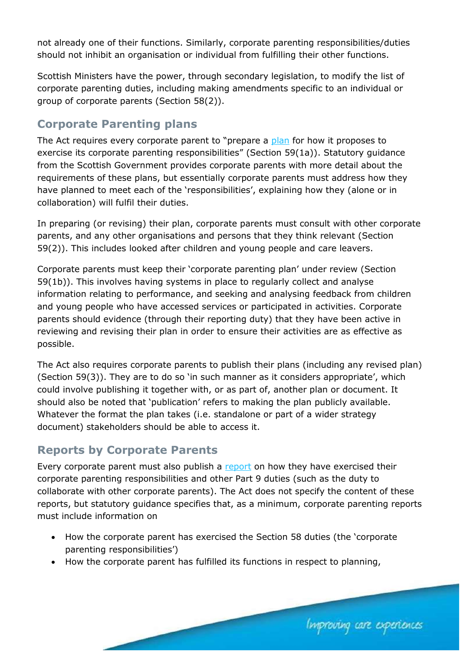not already one of their functions. Similarly, corporate parenting responsibilities/duties should not inhibit an organisation or individual from fulfilling their other functions.

Scottish Ministers have the power, through secondary legislation, to modify the list of corporate parenting duties, including making amendments specific to an individual or group of corporate parents (Section 58(2)).

### **Corporate Parenting plans**

The Act requires every corporate parent to "prepare a [plan](https://www.celcis.org/files/4514/5926/1023/Corporate-parenting-Implementation-Note-4-planning-and-reporting.pdf) for how it proposes to exercise its corporate parenting responsibilities" (Section 59(1a)). Statutory guidance from the Scottish Government provides corporate parents with more detail about the requirements of these plans, but essentially corporate parents must address how they have planned to meet each of the 'responsibilities', explaining how they (alone or in collaboration) will fulfil their duties.

In preparing (or revising) their plan, corporate parents must consult with other corporate parents, and any other organisations and persons that they think relevant (Section 59(2)). This includes looked after children and young people and care leavers.

Corporate parents must keep their 'corporate parenting plan' under review (Section 59(1b)). This involves having systems in place to regularly collect and analyse information relating to performance, and seeking and analysing feedback from children and young people who have accessed services or participated in activities. Corporate parents should evidence (through their reporting duty) that they have been active in reviewing and revising their plan in order to ensure their activities are as effective as possible.

The Act also requires corporate parents to publish their plans (including any revised plan) (Section 59(3)). They are to do so 'in such manner as it considers appropriate', which could involve publishing it together with, or as part of, another plan or document. It should also be noted that 'publication' refers to making the plan publicly available. Whatever the format the plan takes (i.e. standalone or part of a wider strategy document) stakeholders should be able to access it.

### **Reports by Corporate Parents**

Every corporate parent must also publish a [report](https://www.celcis.org/files/4514/5926/1023/Corporate-parenting-Implementation-Note-4-planning-and-reporting.pdf) on how they have exercised their corporate parenting responsibilities and other Part 9 duties (such as the duty to collaborate with other corporate parents). The Act does not specify the content of these reports, but statutory guidance specifies that, as a minimum, corporate parenting reports must include information on

• How the corporate parent has exercised the Section 58 duties (the 'corporate parenting responsibilities')

Improving care experiences

• How the corporate parent has fulfilled its functions in respect to planning,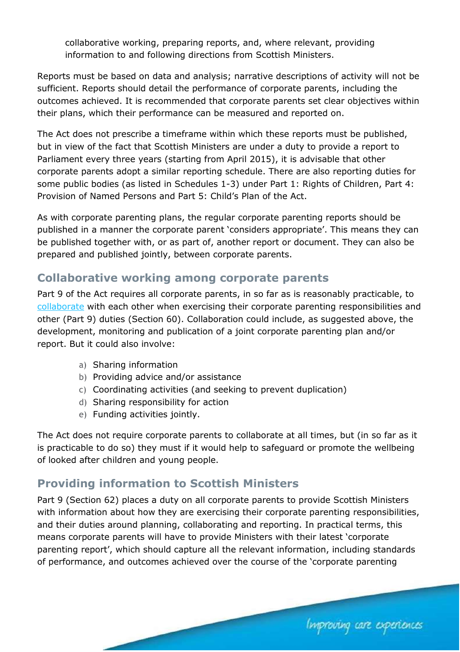collaborative working, preparing reports, and, where relevant, providing information to and following directions from Scottish Ministers.

Reports must be based on data and analysis; narrative descriptions of activity will not be sufficient. Reports should detail the performance of corporate parents, including the outcomes achieved. It is recommended that corporate parents set clear objectives within their plans, which their performance can be measured and reported on.

The Act does not prescribe a timeframe within which these reports must be published, but in view of the fact that Scottish Ministers are under a duty to provide a report to Parliament every three years (starting from April 2015), it is advisable that other corporate parents adopt a similar reporting schedule. There are also reporting duties for some public bodies (as listed in Schedules 1-3) under Part 1: Rights of Children, Part 4: Provision of Named Persons and Part 5: Child's Plan of the Act.

As with corporate parenting plans, the regular corporate parenting reports should be published in a manner the corporate parent 'considers appropriate'. This means they can be published together with, or as part of, another report or document. They can also be prepared and published jointly, between corporate parents.

### **Collaborative working among corporate parents**

Part 9 of the Act requires all corporate parents, in so far as is reasonably practicable, to [collaborate](https://www.celcis.org/files/6914/5926/1037/Corporate-parenting-Implementation-Note-3-collaboration.pdf) with each other when exercising their corporate parenting responsibilities and other (Part 9) duties (Section 60). Collaboration could include, as suggested above, the development, monitoring and publication of a joint corporate parenting plan and/or report. But it could also involve:

- a) Sharing information
- b) Providing advice and/or assistance
- c) Coordinating activities (and seeking to prevent duplication)
- d) Sharing responsibility for action
- e) Funding activities jointly.

The Act does not require corporate parents to collaborate at all times, but (in so far as it is practicable to do so) they must if it would help to safeguard or promote the wellbeing of looked after children and young people.

### **Providing information to Scottish Ministers**

Part 9 (Section 62) places a duty on all corporate parents to provide Scottish Ministers with information about how they are exercising their corporate parenting responsibilities, and their duties around planning, collaborating and reporting. In practical terms, this means corporate parents will have to provide Ministers with their latest 'corporate parenting report', which should capture all the relevant information, including standards of performance, and outcomes achieved over the course of the 'corporate parenting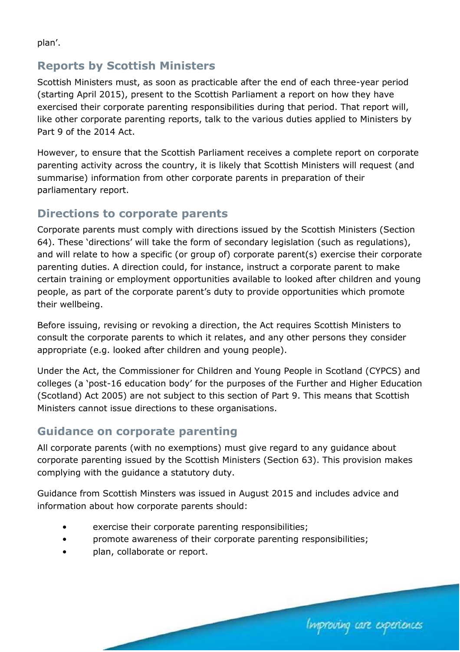plan'.

### **Reports by Scottish Ministers**

Scottish Ministers must, as soon as practicable after the end of each three-year period (starting April 2015), present to the Scottish Parliament a report on how they have exercised their corporate parenting responsibilities during that period. That report will, like other corporate parenting reports, talk to the various duties applied to Ministers by Part 9 of the 2014 Act.

However, to ensure that the Scottish Parliament receives a complete report on corporate parenting activity across the country, it is likely that Scottish Ministers will request (and summarise) information from other corporate parents in preparation of their parliamentary report.

## **Directions to corporate parents**

Corporate parents must comply with directions issued by the Scottish Ministers (Section 64). These 'directions' will take the form of secondary legislation (such as regulations), and will relate to how a specific (or group of) corporate parent(s) exercise their corporate parenting duties. A direction could, for instance, instruct a corporate parent to make certain training or employment opportunities available to looked after children and young people, as part of the corporate parent's duty to provide opportunities which promote their wellbeing.

Before issuing, revising or revoking a direction, the Act requires Scottish Ministers to consult the corporate parents to which it relates, and any other persons they consider appropriate (e.g. looked after children and young people).

Under the Act, the Commissioner for Children and Young People in Scotland (CYPCS) and colleges (a 'post-16 education body' for the purposes of the Further and Higher Education (Scotland) Act 2005) are not subject to this section of Part 9. This means that Scottish Ministers cannot issue directions to these organisations.

### **Guidance on corporate parenting**

All corporate parents (with no exemptions) must give regard to any guidance about corporate parenting issued by the Scottish Ministers (Section 63). This provision makes complying with the guidance a statutory duty.

Guidance from Scottish Minsters was issued in August 2015 and includes advice and information about how corporate parents should:

- exercise their corporate parenting responsibilities;
- promote awareness of their corporate parenting responsibilities;
- plan, collaborate or report.

Improving care experiences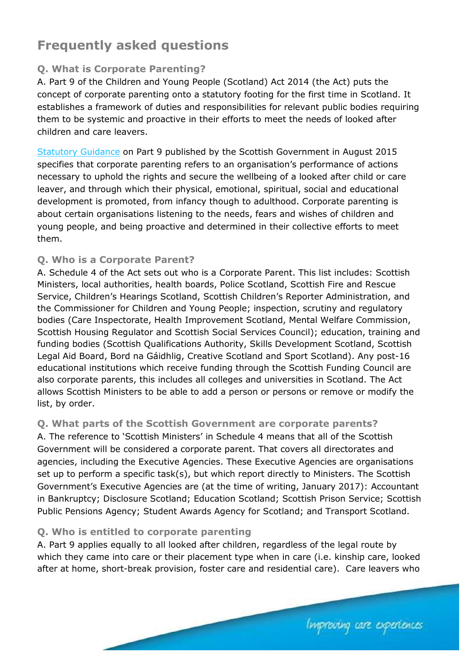# **Frequently asked questions**

#### **Q. What is Corporate Parenting?**

A. Part 9 of the Children and Young People (Scotland) Act 2014 (the Act) puts the concept of corporate parenting onto a statutory footing for the first time in Scotland. It establishes a framework of duties and responsibilities for relevant public bodies requiring them to be systemic and proactive in their efforts to meet the needs of looked after children and care leavers.

[Statutory Guidance](http://www.gov.scot/Resource/0048/00483676.pdf) on Part 9 published by the Scottish Government in August 2015 specifies that corporate parenting refers to an organisation's performance of actions necessary to uphold the rights and secure the wellbeing of a looked after child or care leaver, and through which their physical, emotional, spiritual, social and educational development is promoted, from infancy though to adulthood. Corporate parenting is about certain organisations listening to the needs, fears and wishes of children and young people, and being proactive and determined in their collective efforts to meet them.

#### **Q. Who is a Corporate Parent?**

A. Schedule 4 of the Act sets out who is a Corporate Parent. This list includes: Scottish Ministers, local authorities, health boards, Police Scotland, Scottish Fire and Rescue Service, Children's Hearings Scotland, Scottish Children's Reporter Administration, and the Commissioner for Children and Young People; inspection, scrutiny and regulatory bodies (Care Inspectorate, Health Improvement Scotland, Mental Welfare Commission, Scottish Housing Regulator and Scottish Social Services Council); education, training and funding bodies (Scottish Qualifications Authority, Skills Development Scotland, Scottish Legal Aid Board, Bord na Gáidhlig, Creative Scotland and Sport Scotland). Any post-16 educational institutions which receive funding through the Scottish Funding Council are also corporate parents, this includes all colleges and universities in Scotland. The Act allows Scottish Ministers to be able to add a person or persons or remove or modify the list, by order.

#### **Q. What parts of the Scottish Government are corporate parents?**

A. The reference to 'Scottish Ministers' in Schedule 4 means that all of the Scottish Government will be considered a corporate parent. That covers all directorates and agencies, including the Executive Agencies. These Executive Agencies are organisations set up to perform a specific task(s), but which report directly to Ministers. The Scottish Government's Executive Agencies are (at the time of writing, January 2017): Accountant in Bankruptcy; Disclosure Scotland; Education Scotland; Scottish Prison Service; Scottish Public Pensions Agency; Student Awards Agency for Scotland; and Transport Scotland.

#### **Q. Who is entitled to corporate parenting**

A. Part 9 applies equally to all looked after children, regardless of the legal route by which they came into care or their placement type when in care (i.e. kinship care, looked after at home, short-break provision, foster care and residential care). Care leavers who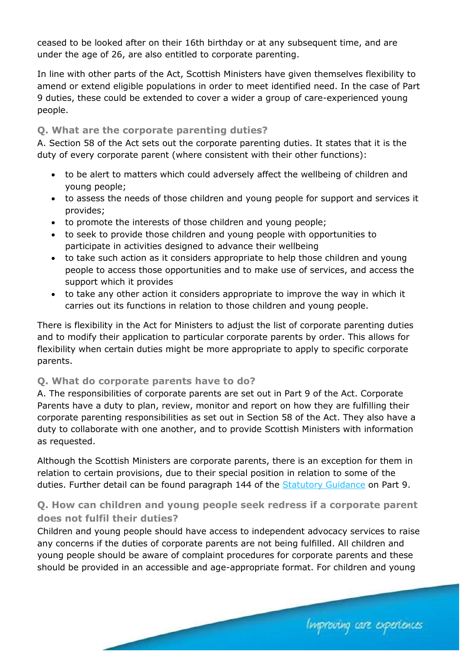ceased to be looked after on their 16th birthday or at any subsequent time, and are under the age of 26, are also entitled to corporate parenting.

In line with other parts of the Act, Scottish Ministers have given themselves flexibility to amend or extend eligible populations in order to meet identified need. In the case of Part 9 duties, these could be extended to cover a wider a group of care-experienced young people.

#### **Q. What are the corporate parenting duties?**

A. Section 58 of the Act sets out the corporate parenting duties. It states that it is the duty of every corporate parent (where consistent with their other functions):

- to be alert to matters which could adversely affect the wellbeing of children and young people;
- to assess the needs of those children and young people for support and services it provides;
- to promote the interests of those children and young people;
- to seek to provide those children and young people with opportunities to participate in activities designed to advance their wellbeing
- to take such action as it considers appropriate to help those children and young people to access those opportunities and to make use of services, and access the support which it provides
- to take any other action it considers appropriate to improve the way in which it carries out its functions in relation to those children and young people.

There is flexibility in the Act for Ministers to adjust the list of corporate parenting duties and to modify their application to particular corporate parents by order. This allows for flexibility when certain duties might be more appropriate to apply to specific corporate parents.

#### **Q. What do corporate parents have to do?**

A. The responsibilities of corporate parents are set out in Part 9 of the Act. Corporate Parents have a duty to plan, review, monitor and report on how they are fulfilling their corporate parenting responsibilities as set out in Section 58 of the Act. They also have a duty to collaborate with one another, and to provide Scottish Ministers with information as requested.

Although the Scottish Ministers are corporate parents, there is an exception for them in relation to certain provisions, due to their special position in relation to some of the duties. Further detail can be found paragraph 144 of the **Statutory Guidance** on Part 9.

#### **Q. How can children and young people seek redress if a corporate parent does not fulfil their duties?**

Children and young people should have access to independent advocacy services to raise any concerns if the duties of corporate parents are not being fulfilled. All children and young people should be aware of complaint procedures for corporate parents and these should be provided in an accessible and age-appropriate format. For children and young

Improving care experiences